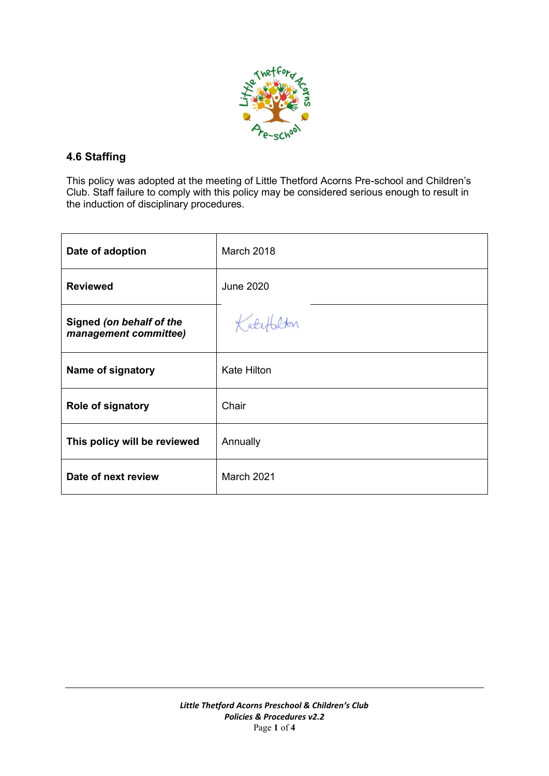

# **4.6 Staffing**

This policy was adopted at the meeting of Little Thetford Acorns Pre-school and Children's Club. Staff failure to comply with this policy may be considered serious enough to result in the induction of disciplinary procedures.

| Date of adoption                                  | March 2018         |
|---------------------------------------------------|--------------------|
| <b>Reviewed</b>                                   | <b>June 2020</b>   |
| Signed (on behalf of the<br>management committee) | Katefalton         |
| Name of signatory                                 | <b>Kate Hilton</b> |
| <b>Role of signatory</b>                          | Chair              |
| This policy will be reviewed                      | Annually           |
| Date of next review                               | <b>March 2021</b>  |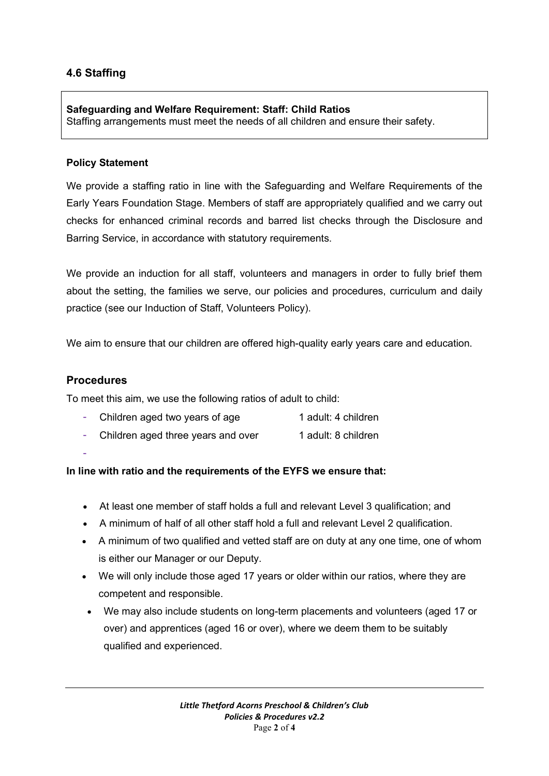# **4.6 Staffing**

### **Safeguarding and Welfare Requirement: Staff: Child Ratios**

Staffing arrangements must meet the needs of all children and ensure their safety.

### **Policy Statement**

We provide a staffing ratio in line with the Safeguarding and Welfare Requirements of the Early Years Foundation Stage. Members of staff are appropriately qualified and we carry out checks for enhanced criminal records and barred list checks through the Disclosure and Barring Service, in accordance with statutory requirements.

We provide an induction for all staff, volunteers and managers in order to fully brief them about the setting, the families we serve, our policies and procedures, curriculum and daily practice (see our Induction of Staff, Volunteers Policy).

We aim to ensure that our children are offered high-quality early years care and education.

### **Procedures**

To meet this aim, we use the following ratios of adult to child:

|  | Children aged two years of age | 1 adult: 4 children |
|--|--------------------------------|---------------------|
|--|--------------------------------|---------------------|

- Children aged three years and over 1 adult: 8 children
- -

### **In line with ratio and the requirements of the EYFS we ensure that:**

- At least one member of staff holds a full and relevant Level 3 qualification; and
- A minimum of half of all other staff hold a full and relevant Level 2 qualification.
- A minimum of two qualified and vetted staff are on duty at any one time, one of whom is either our Manager or our Deputy.
- We will only include those aged 17 years or older within our ratios, where they are competent and responsible.
- We may also include students on long-term placements and volunteers (aged 17 or over) and apprentices (aged 16 or over), where we deem them to be suitably qualified and experienced.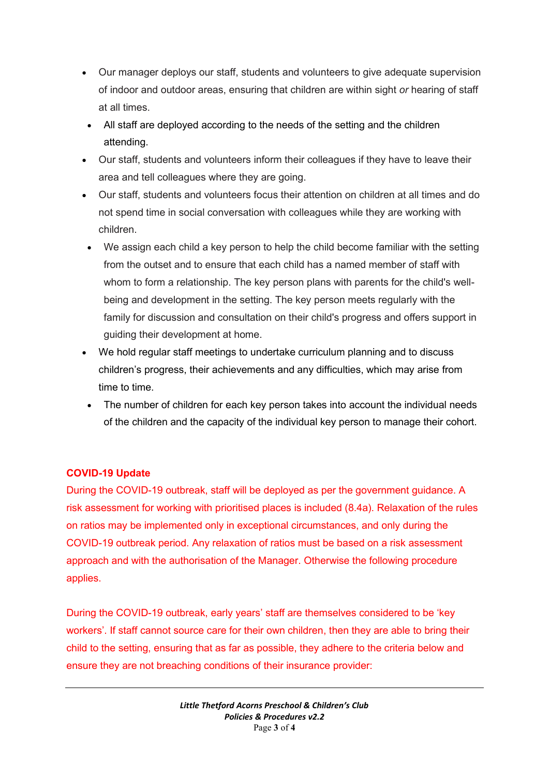- Our manager deploys our staff, students and volunteers to give adequate supervision of indoor and outdoor areas, ensuring that children are within sight *or* hearing of staff at all times.
- All staff are deployed according to the needs of the setting and the children attending.
- Our staff, students and volunteers inform their colleagues if they have to leave their area and tell colleagues where they are going.
- Our staff, students and volunteers focus their attention on children at all times and do not spend time in social conversation with colleagues while they are working with children.
- We assign each child a key person to help the child become familiar with the setting from the outset and to ensure that each child has a named member of staff with whom to form a relationship. The key person plans with parents for the child's wellbeing and development in the setting. The key person meets regularly with the family for discussion and consultation on their child's progress and offers support in guiding their development at home.
- We hold regular staff meetings to undertake curriculum planning and to discuss children's progress, their achievements and any difficulties, which may arise from time to time.
- The number of children for each key person takes into account the individual needs of the children and the capacity of the individual key person to manage their cohort.

# **COVID-19 Update**

During the COVID-19 outbreak, staff will be deployed as per the government guidance. A risk assessment for working with prioritised places is included (8.4a). Relaxation of the rules on ratios may be implemented only in exceptional circumstances, and only during the COVID-19 outbreak period. Any relaxation of ratios must be based on a risk assessment approach and with the authorisation of the Manager. Otherwise the following procedure applies.

During the COVID-19 outbreak, early years' staff are themselves considered to be 'key workers'. If staff cannot source care for their own children, then they are able to bring their child to the setting, ensuring that as far as possible, they adhere to the criteria below and ensure they are not breaching conditions of their insurance provider: